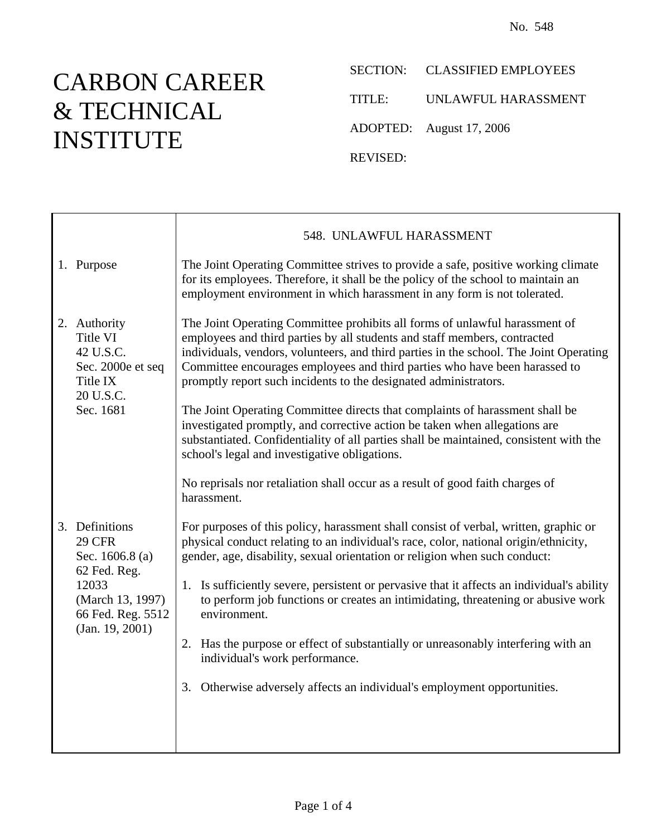## CARBON CAREER & TECHNICAL INSTITUTE

SECTION: CLASSIFIED EMPLOYEES

TITLE: UNLAWFUL HARASSMENT

ADOPTED: August 17, 2006

REVISED:

|  |                                                                                                                                           | 548. UNLAWFUL HARASSMENT                                                                                                                                                                                                                                                                                                                                                                                                                                                                                                                                                                                                                                                                                                                                                                       |
|--|-------------------------------------------------------------------------------------------------------------------------------------------|------------------------------------------------------------------------------------------------------------------------------------------------------------------------------------------------------------------------------------------------------------------------------------------------------------------------------------------------------------------------------------------------------------------------------------------------------------------------------------------------------------------------------------------------------------------------------------------------------------------------------------------------------------------------------------------------------------------------------------------------------------------------------------------------|
|  | 1. Purpose                                                                                                                                | The Joint Operating Committee strives to provide a safe, positive working climate<br>for its employees. Therefore, it shall be the policy of the school to maintain an<br>employment environment in which harassment in any form is not tolerated.                                                                                                                                                                                                                                                                                                                                                                                                                                                                                                                                             |
|  | 2. Authority<br>Title VI<br>42 U.S.C.<br>Sec. 2000e et seq<br>Title IX<br>20 U.S.C.<br>Sec. 1681                                          | The Joint Operating Committee prohibits all forms of unlawful harassment of<br>employees and third parties by all students and staff members, contracted<br>individuals, vendors, volunteers, and third parties in the school. The Joint Operating<br>Committee encourages employees and third parties who have been harassed to<br>promptly report such incidents to the designated administrators.<br>The Joint Operating Committee directs that complaints of harassment shall be<br>investigated promptly, and corrective action be taken when allegations are<br>substantiated. Confidentiality of all parties shall be maintained, consistent with the<br>school's legal and investigative obligations.<br>No reprisals nor retaliation shall occur as a result of good faith charges of |
|  |                                                                                                                                           | harassment.                                                                                                                                                                                                                                                                                                                                                                                                                                                                                                                                                                                                                                                                                                                                                                                    |
|  | 3. Definitions<br><b>29 CFR</b><br>Sec. $1606.8$ (a)<br>62 Fed. Reg.<br>12033<br>(March 13, 1997)<br>66 Fed. Reg. 5512<br>(Jan. 19, 2001) | For purposes of this policy, harassment shall consist of verbal, written, graphic or<br>physical conduct relating to an individual's race, color, national origin/ethnicity,<br>gender, age, disability, sexual orientation or religion when such conduct:                                                                                                                                                                                                                                                                                                                                                                                                                                                                                                                                     |
|  |                                                                                                                                           | 1. Is sufficiently severe, persistent or pervasive that it affects an individual's ability<br>to perform job functions or creates an intimidating, threatening or abusive work<br>environment.                                                                                                                                                                                                                                                                                                                                                                                                                                                                                                                                                                                                 |
|  |                                                                                                                                           | 2. Has the purpose or effect of substantially or unreasonably interfering with an<br>individual's work performance.                                                                                                                                                                                                                                                                                                                                                                                                                                                                                                                                                                                                                                                                            |
|  |                                                                                                                                           | Otherwise adversely affects an individual's employment opportunities.<br>3.                                                                                                                                                                                                                                                                                                                                                                                                                                                                                                                                                                                                                                                                                                                    |
|  |                                                                                                                                           |                                                                                                                                                                                                                                                                                                                                                                                                                                                                                                                                                                                                                                                                                                                                                                                                |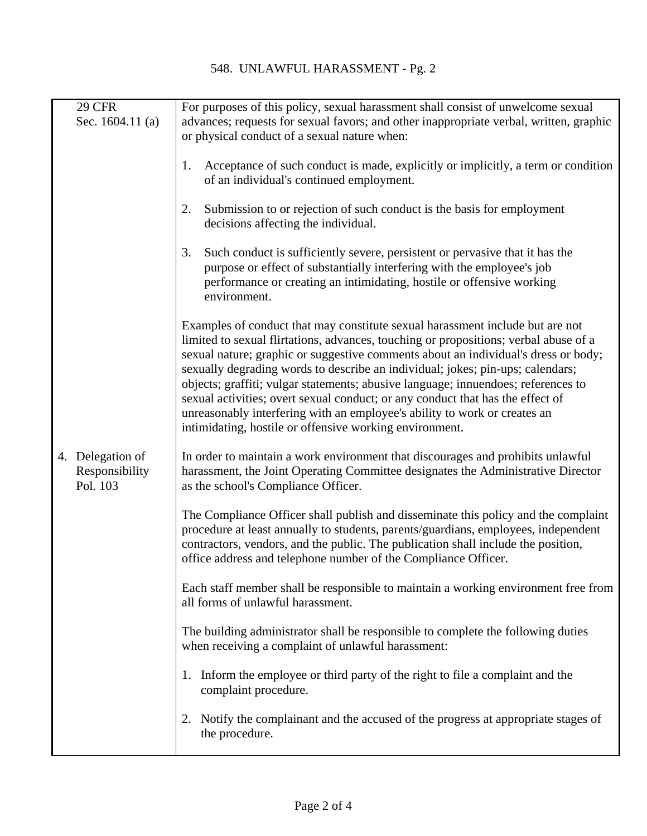| <b>29 CFR</b><br>Sec. $1604.11$ (a)            | For purposes of this policy, sexual harassment shall consist of unwelcome sexual<br>advances; requests for sexual favors; and other inappropriate verbal, written, graphic<br>or physical conduct of a sexual nature when:                                                                                                                                                                                                                                                                                                                                                                                                                                   |
|------------------------------------------------|--------------------------------------------------------------------------------------------------------------------------------------------------------------------------------------------------------------------------------------------------------------------------------------------------------------------------------------------------------------------------------------------------------------------------------------------------------------------------------------------------------------------------------------------------------------------------------------------------------------------------------------------------------------|
|                                                | Acceptance of such conduct is made, explicitly or implicitly, a term or condition<br>1.<br>of an individual's continued employment.                                                                                                                                                                                                                                                                                                                                                                                                                                                                                                                          |
|                                                | Submission to or rejection of such conduct is the basis for employment<br>2.<br>decisions affecting the individual.                                                                                                                                                                                                                                                                                                                                                                                                                                                                                                                                          |
|                                                | 3.<br>Such conduct is sufficiently severe, persistent or pervasive that it has the<br>purpose or effect of substantially interfering with the employee's job<br>performance or creating an intimidating, hostile or offensive working<br>environment.                                                                                                                                                                                                                                                                                                                                                                                                        |
|                                                | Examples of conduct that may constitute sexual harassment include but are not<br>limited to sexual flirtations, advances, touching or propositions; verbal abuse of a<br>sexual nature; graphic or suggestive comments about an individual's dress or body;<br>sexually degrading words to describe an individual; jokes; pin-ups; calendars;<br>objects; graffiti; vulgar statements; abusive language; innuendoes; references to<br>sexual activities; overt sexual conduct; or any conduct that has the effect of<br>unreasonably interfering with an employee's ability to work or creates an<br>intimidating, hostile or offensive working environment. |
| 4. Delegation of<br>Responsibility<br>Pol. 103 | In order to maintain a work environment that discourages and prohibits unlawful<br>harassment, the Joint Operating Committee designates the Administrative Director<br>as the school's Compliance Officer.                                                                                                                                                                                                                                                                                                                                                                                                                                                   |
|                                                | The Compliance Officer shall publish and disseminate this policy and the complaint<br>procedure at least annually to students, parents/guardians, employees, independent<br>contractors, vendors, and the public. The publication shall include the position,<br>office address and telephone number of the Compliance Officer.                                                                                                                                                                                                                                                                                                                              |
|                                                | Each staff member shall be responsible to maintain a working environment free from<br>all forms of unlawful harassment.                                                                                                                                                                                                                                                                                                                                                                                                                                                                                                                                      |
|                                                | The building administrator shall be responsible to complete the following duties<br>when receiving a complaint of unlawful harassment:                                                                                                                                                                                                                                                                                                                                                                                                                                                                                                                       |
|                                                | 1. Inform the employee or third party of the right to file a complaint and the<br>complaint procedure.                                                                                                                                                                                                                                                                                                                                                                                                                                                                                                                                                       |
|                                                | Notify the complainant and the accused of the progress at appropriate stages of<br>2.<br>the procedure.                                                                                                                                                                                                                                                                                                                                                                                                                                                                                                                                                      |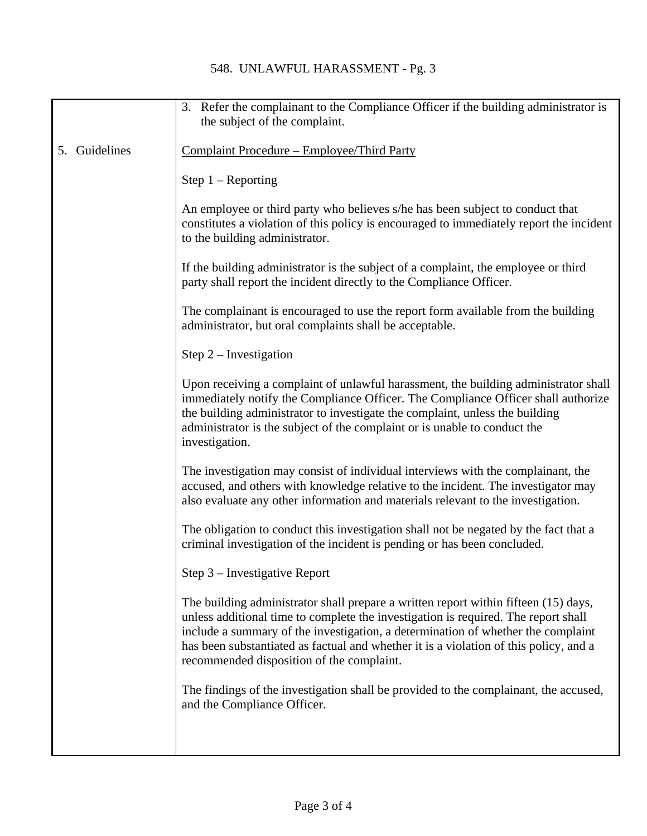## 548. UNLAWFUL HARASSMENT - Pg. 3

|                  | 3. Refer the complainant to the Compliance Officer if the building administrator is<br>the subject of the complaint.                                                                                                                                                                                                                                                                                |
|------------------|-----------------------------------------------------------------------------------------------------------------------------------------------------------------------------------------------------------------------------------------------------------------------------------------------------------------------------------------------------------------------------------------------------|
|                  |                                                                                                                                                                                                                                                                                                                                                                                                     |
| Guidelines<br>5. | Complaint Procedure – Employee/Third Party                                                                                                                                                                                                                                                                                                                                                          |
|                  | Step $1 -$ Reporting                                                                                                                                                                                                                                                                                                                                                                                |
|                  | An employee or third party who believes s/he has been subject to conduct that<br>constitutes a violation of this policy is encouraged to immediately report the incident<br>to the building administrator.                                                                                                                                                                                          |
|                  | If the building administrator is the subject of a complaint, the employee or third<br>party shall report the incident directly to the Compliance Officer.                                                                                                                                                                                                                                           |
|                  | The complainant is encouraged to use the report form available from the building<br>administrator, but oral complaints shall be acceptable.                                                                                                                                                                                                                                                         |
|                  | Step $2$ – Investigation                                                                                                                                                                                                                                                                                                                                                                            |
|                  | Upon receiving a complaint of unlawful harassment, the building administrator shall<br>immediately notify the Compliance Officer. The Compliance Officer shall authorize<br>the building administrator to investigate the complaint, unless the building<br>administrator is the subject of the complaint or is unable to conduct the<br>investigation.                                             |
|                  | The investigation may consist of individual interviews with the complainant, the<br>accused, and others with knowledge relative to the incident. The investigator may<br>also evaluate any other information and materials relevant to the investigation.                                                                                                                                           |
|                  | The obligation to conduct this investigation shall not be negated by the fact that a<br>criminal investigation of the incident is pending or has been concluded.                                                                                                                                                                                                                                    |
|                  | Step 3 - Investigative Report                                                                                                                                                                                                                                                                                                                                                                       |
|                  | The building administrator shall prepare a written report within fifteen (15) days,<br>unless additional time to complete the investigation is required. The report shall<br>include a summary of the investigation, a determination of whether the complaint<br>has been substantiated as factual and whether it is a violation of this policy, and a<br>recommended disposition of the complaint. |
|                  | The findings of the investigation shall be provided to the complainant, the accused,<br>and the Compliance Officer.                                                                                                                                                                                                                                                                                 |
|                  |                                                                                                                                                                                                                                                                                                                                                                                                     |